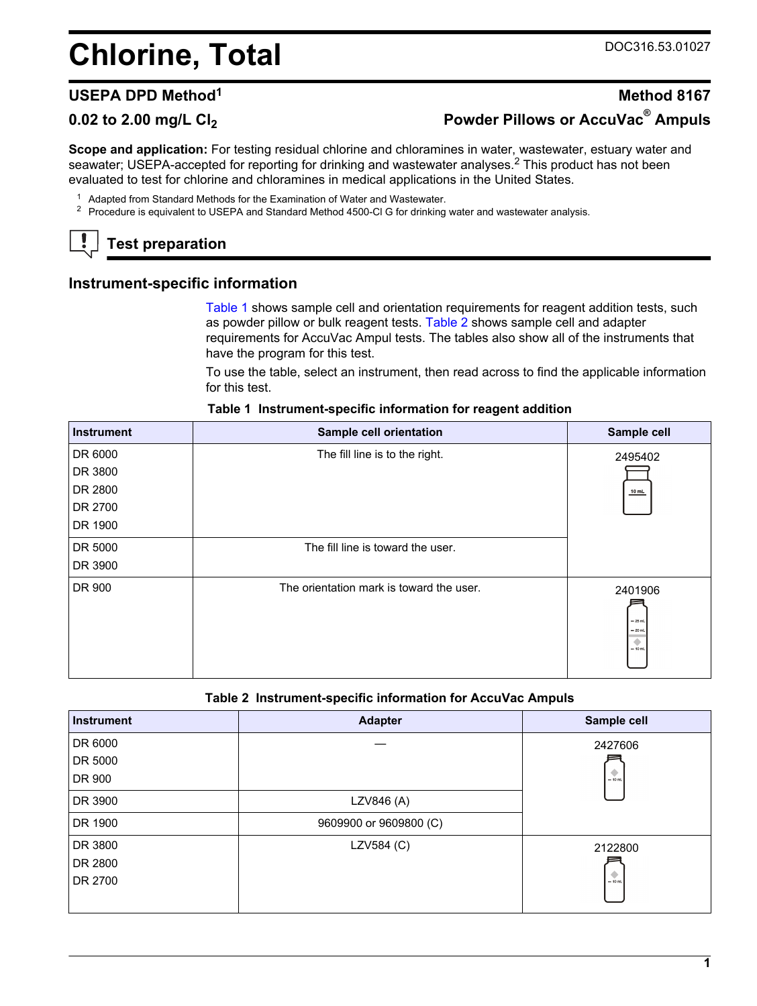# <span id="page-0-0"></span>**Chlorine, Total** DOC316.53.01027

## **USEPA DPD Method<sup>1</sup> Method 8167 0.02 to 2.00 mg/L Cl<sup>2</sup> Powder Pillows or AccuVac® Ampuls**

**Scope and application:** For testing residual chlorine and chloramines in water, wastewater, estuary water and seawater; USEPA-accepted for reporting for drinking and wastewater analyses.<sup>2</sup> This product has not been evaluated to test for chlorine and chloramines in medical applications in the United States.

- <sup>1</sup> Adapted from Standard Methods for the Examination of Water and Wastewater.
- <sup>2</sup> Procedure is equivalent to USEPA and Standard Method 4500-Cl G for drinking water and wastewater analysis.

### **Test preparation**

#### **Instrument-specific information**

Table 1 shows sample cell and orientation requirements for reagent addition tests, such as powder pillow or bulk reagent tests. Table 2 shows sample cell and adapter requirements for AccuVac Ampul tests. The tables also show all of the instruments that have the program for this test.

To use the table, select an instrument, then read across to find the applicable information for this test.

| <b>Instrument</b> | Sample cell orientation                  | Sample cell                                        |
|-------------------|------------------------------------------|----------------------------------------------------|
| DR 6000           | The fill line is to the right.           | 2495402                                            |
| DR 3800           |                                          |                                                    |
| DR 2800           |                                          | $10$ mL                                            |
| DR 2700           |                                          |                                                    |
| DR 1900           |                                          |                                                    |
| DR 5000           | The fill line is toward the user.        |                                                    |
| DR 3900           |                                          |                                                    |
| DR 900            | The orientation mark is toward the user. | 2401906<br>$-25$ mL<br>$= 20$ mL<br>۰<br>$= 10$ mL |

#### **Table 1 Instrument-specific information for reagent addition**

#### **Table 2 Instrument-specific information for AccuVac Ampuls**

| <b>Instrument</b> | <b>Adapter</b>         | Sample cell |
|-------------------|------------------------|-------------|
| DR 6000           |                        | 2427606     |
| DR 5000           |                        |             |
| DR 900            |                        | $-10$ mL    |
| DR 3900           | LZV846 (A)             |             |
| DR 1900           | 9609900 or 9609800 (C) |             |
| DR 3800           | LZV584 (C)             | 2122800     |
| DR 2800           |                        |             |
| DR 2700           |                        | $-10$ ml    |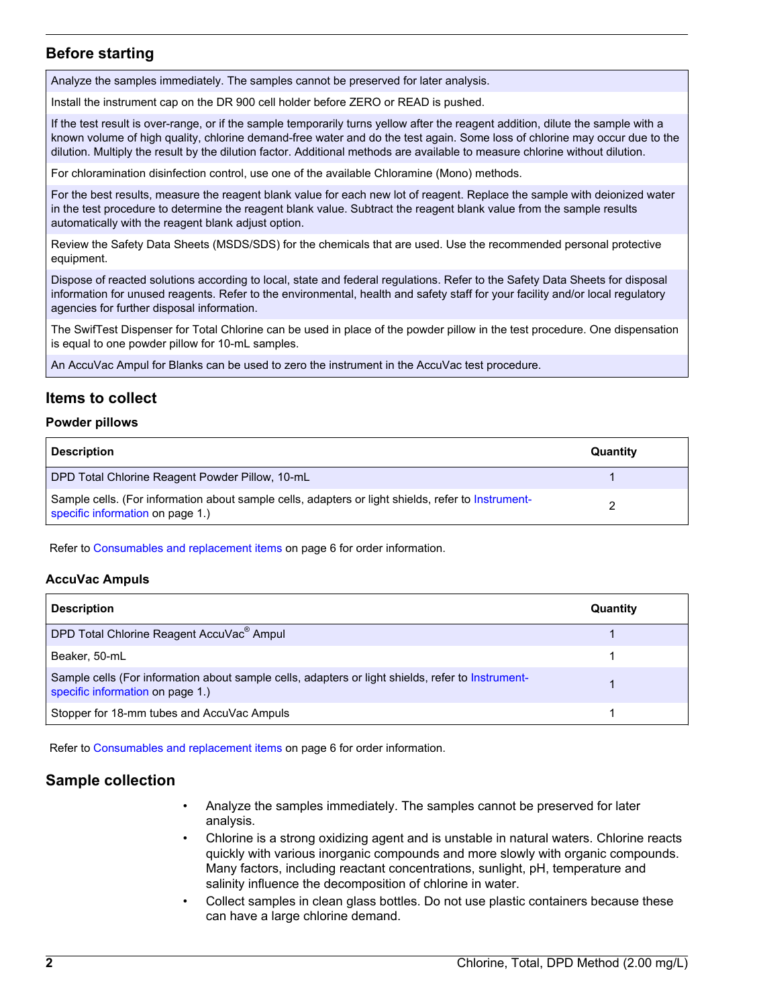#### **Before starting**

Analyze the samples immediately. The samples cannot be preserved for later analysis.

Install the instrument cap on the DR 900 cell holder before ZERO or READ is pushed.

If the test result is over-range, or if the sample temporarily turns yellow after the reagent addition, dilute the sample with a known volume of high quality, chlorine demand-free water and do the test again. Some loss of chlorine may occur due to the dilution. Multiply the result by the dilution factor. Additional methods are available to measure chlorine without dilution.

For chloramination disinfection control, use one of the available Chloramine (Mono) methods.

For the best results, measure the reagent blank value for each new lot of reagent. Replace the sample with deionized water in the test procedure to determine the reagent blank value. Subtract the reagent blank value from the sample results automatically with the reagent blank adjust option.

Review the Safety Data Sheets (MSDS/SDS) for the chemicals that are used. Use the recommended personal protective equipment.

Dispose of reacted solutions according to local, state and federal regulations. Refer to the Safety Data Sheets for disposal information for unused reagents. Refer to the environmental, health and safety staff for your facility and/or local regulatory agencies for further disposal information.

The SwifTest Dispenser for Total Chlorine can be used in place of the powder pillow in the test procedure. One dispensation is equal to one powder pillow for 10-mL samples.

An AccuVac Ampul for Blanks can be used to zero the instrument in the AccuVac test procedure.

#### **Items to collect**

#### **Powder pillows**

| <b>Description</b>                                                                                                                     | Quantity |
|----------------------------------------------------------------------------------------------------------------------------------------|----------|
| DPD Total Chlorine Reagent Powder Pillow, 10-mL                                                                                        |          |
| Sample cells. (For information about sample cells, adapters or light shields, refer to Instrument-<br>specific information on page 1.) |          |

Refer to [Consumables and replacement items](#page-5-0) on page 6 for order information.

#### **AccuVac Ampuls**

| <b>Description</b>                                                                                                                    | Quantity |
|---------------------------------------------------------------------------------------------------------------------------------------|----------|
| DPD Total Chlorine Reagent AccuVac <sup>®</sup> Ampul                                                                                 |          |
| Beaker, 50-mL                                                                                                                         |          |
| Sample cells (For information about sample cells, adapters or light shields, refer to Instrument-<br>specific information on page 1.) |          |
| Stopper for 18-mm tubes and AccuVac Ampuls                                                                                            |          |

Refer to [Consumables and replacement items](#page-5-0) on page 6 for order information.

#### **Sample collection**

- Analyze the samples immediately. The samples cannot be preserved for later analysis.
- Chlorine is a strong oxidizing agent and is unstable in natural waters. Chlorine reacts quickly with various inorganic compounds and more slowly with organic compounds. Many factors, including reactant concentrations, sunlight, pH, temperature and salinity influence the decomposition of chlorine in water.
- Collect samples in clean glass bottles. Do not use plastic containers because these can have a large chlorine demand.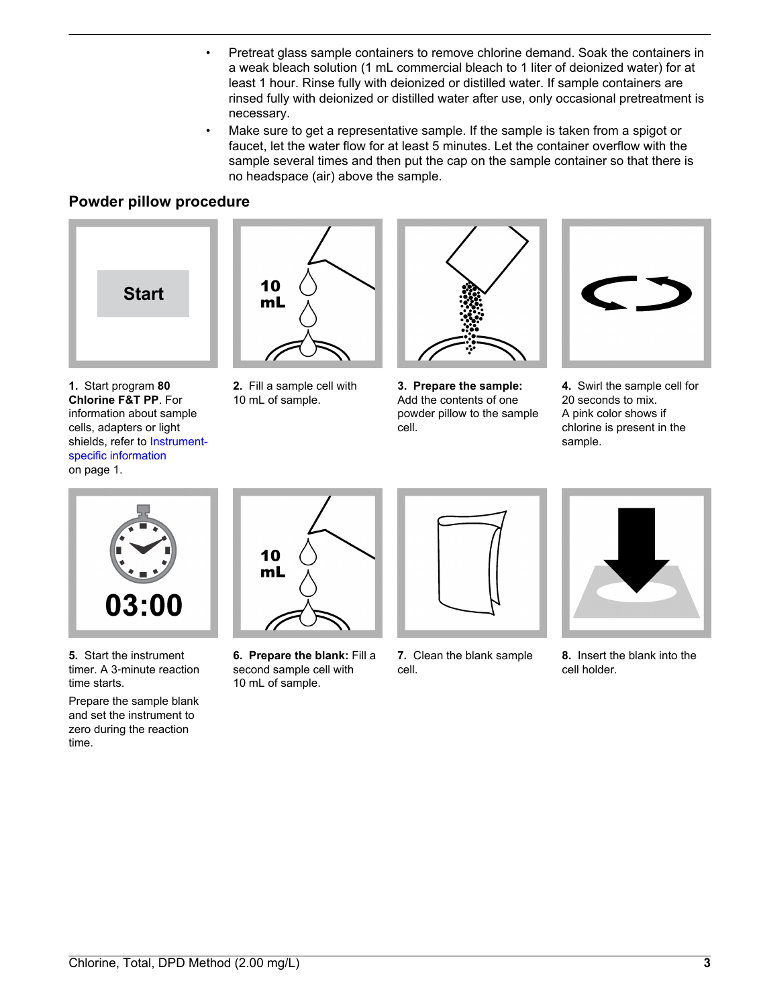- Pretreat glass sample containers to remove chlorine demand. Soak the containers in a weak bleach solution (1 mL commercial bleach to 1 liter of deionized water) for at least 1 hour. Rinse fully with deionized or distilled water. If sample containers are rinsed fully with deionized or distilled water after use, only occasional pretreatment is necessary.
- Make sure to get a representative sample. If the sample is taken from a spigot or faucet, let the water flow for at least 5 minutes. Let the container overflow with the sample several times and then put the cap on the sample container so that there is no headspace (air) above the sample.

#### **Powder pillow procedure**



**1.** Start program **80 Chlorine F&T PP**. For information about sample cells, adapters or light shields, refer to [Instrument](#page-0-0)[specific information](#page-0-0) on page 1.



**2.** Fill a sample cell with 10 mL of sample.



**3. Prepare the sample:** Add the contents of one powder pillow to the sample cell.



**4.** Swirl the sample cell for 20 seconds to mix. A pink color shows if chlorine is present in the sample.



**5.** Start the instrument timer. A 3‑minute reaction time starts.

Prepare the sample blank and set the instrument to zero during the reaction time.



**6. Prepare the blank:** Fill a second sample cell with 10 mL of sample.



**7.** Clean the blank sample cell.



**8.** Insert the blank into the cell holder.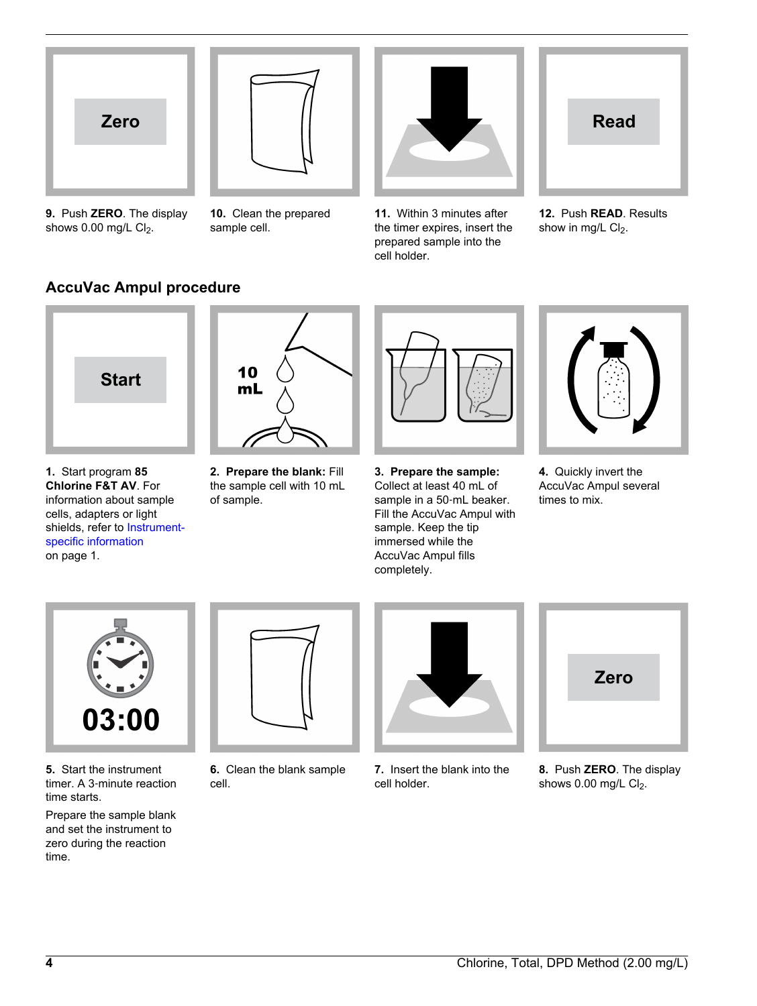

**9.** Push **ZERO**. The display shows  $0.00$  mg/L Cl<sub>2</sub>.



**10.** Clean the prepared

sample cell.



**11.** Within 3 minutes after the timer expires, insert the prepared sample into the cell holder.



**12.** Push **READ**. Results show in mg/L  $Cl<sub>2</sub>$ .

### **AccuVac Ampul procedure**



**1.** Start program **85 Chlorine F&T AV**. For information about sample cells, adapters or light shields, refer to [Instrument](#page-0-0)[specific information](#page-0-0) on page 1.



**2. Prepare the blank:** Fill the sample cell with 10 mL of sample.



**3. Prepare the sample:** Collect at least 40 mL of sample in a 50-mL beaker. Fill the AccuVac Ampul with sample. Keep the tip immersed while the AccuVac Ampul fills completely.



**4.** Quickly invert the AccuVac Ampul several times to mix.



**5.** Start the instrument timer. A 3‑minute reaction time starts.

Prepare the sample blank and set the instrument to zero during the reaction time.



**6.** Clean the blank sample cell.



**7.** Insert the blank into the cell holder.



**8.** Push **ZERO**. The display shows  $0.00$  mg/L Cl<sub>2</sub>.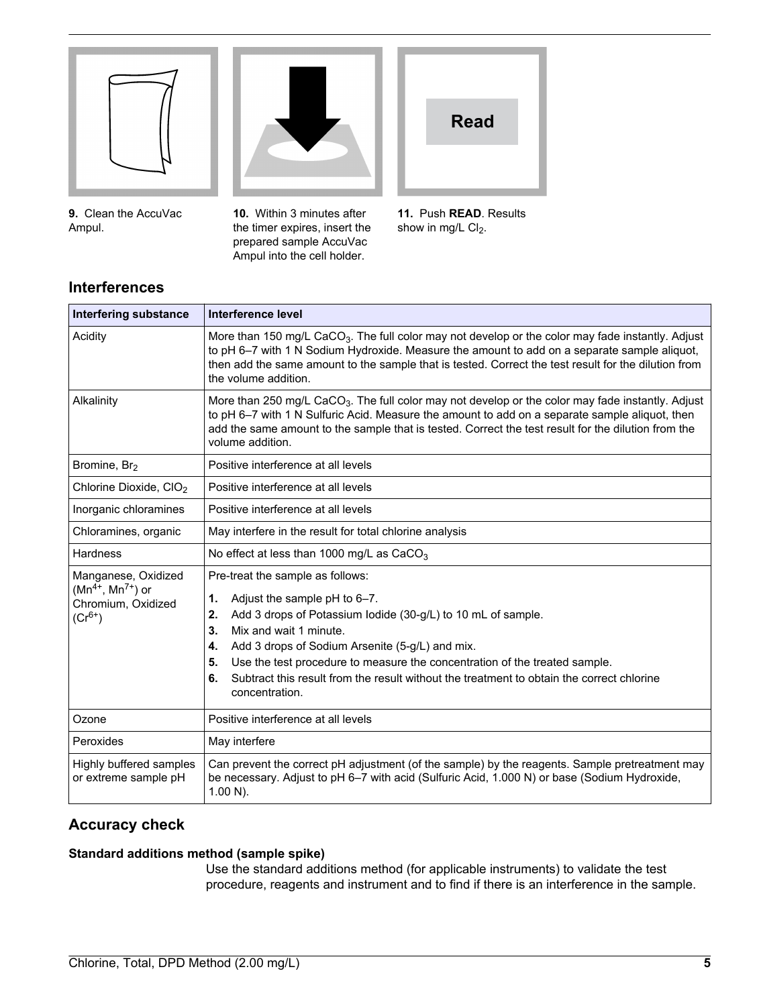

**9.** Clean the AccuVac Ampul.

**Interferences**



**10.** Within 3 minutes after the timer expires, insert the prepared sample AccuVac Ampul into the cell holder.



**11.** Push **READ**. Results show in mg/L  $Cl<sub>2</sub>$ .

| <b>Interfering substance</b>                                                        | Interference level                                                                                                                                                                                                                                                                                                                                                                                                                             |
|-------------------------------------------------------------------------------------|------------------------------------------------------------------------------------------------------------------------------------------------------------------------------------------------------------------------------------------------------------------------------------------------------------------------------------------------------------------------------------------------------------------------------------------------|
| Acidity                                                                             | More than 150 mg/L CaCO <sub>3</sub> . The full color may not develop or the color may fade instantly. Adjust<br>to pH 6-7 with 1 N Sodium Hydroxide. Measure the amount to add on a separate sample aliquot,<br>then add the same amount to the sample that is tested. Correct the test result for the dilution from<br>the volume addition.                                                                                                  |
| Alkalinity                                                                          | More than 250 mg/L CaCO <sub>3</sub> . The full color may not develop or the color may fade instantly. Adjust<br>to pH 6-7 with 1 N Sulfuric Acid. Measure the amount to add on a separate sample aliquot, then<br>add the same amount to the sample that is tested. Correct the test result for the dilution from the<br>volume addition.                                                                                                     |
| Bromine, Br <sub>2</sub>                                                            | Positive interference at all levels                                                                                                                                                                                                                                                                                                                                                                                                            |
| Chlorine Dioxide, CIO <sub>2</sub>                                                  | Positive interference at all levels                                                                                                                                                                                                                                                                                                                                                                                                            |
| Inorganic chloramines                                                               | Positive interference at all levels                                                                                                                                                                                                                                                                                                                                                                                                            |
| Chloramines, organic                                                                | May interfere in the result for total chlorine analysis                                                                                                                                                                                                                                                                                                                                                                                        |
| Hardness                                                                            | No effect at less than 1000 mg/L as $CaCO3$                                                                                                                                                                                                                                                                                                                                                                                                    |
| Manganese, Oxidized<br>$(Mn^{4+}, Mn^{7+})$ or<br>Chromium, Oxidized<br>$(Cr^{6+})$ | Pre-treat the sample as follows:<br>Adjust the sample pH to 6-7.<br>1.<br>Add 3 drops of Potassium lodide (30-g/L) to 10 mL of sample.<br>2.<br>Mix and wait 1 minute.<br>3.<br>Add 3 drops of Sodium Arsenite (5-g/L) and mix.<br>4.<br>Use the test procedure to measure the concentration of the treated sample.<br>5.<br>Subtract this result from the result without the treatment to obtain the correct chlorine<br>6.<br>concentration. |
| Ozone                                                                               | Positive interference at all levels                                                                                                                                                                                                                                                                                                                                                                                                            |
| Peroxides                                                                           | May interfere                                                                                                                                                                                                                                                                                                                                                                                                                                  |
| Highly buffered samples<br>or extreme sample pH                                     | Can prevent the correct pH adjustment (of the sample) by the reagents. Sample pretreatment may<br>be necessary. Adjust to pH 6-7 with acid (Sulfuric Acid, 1.000 N) or base (Sodium Hydroxide,<br>$1.00 N$ ).                                                                                                                                                                                                                                  |

#### **Accuracy check**

#### **Standard additions method (sample spike)**

Use the standard additions method (for applicable instruments) to validate the test procedure, reagents and instrument and to find if there is an interference in the sample.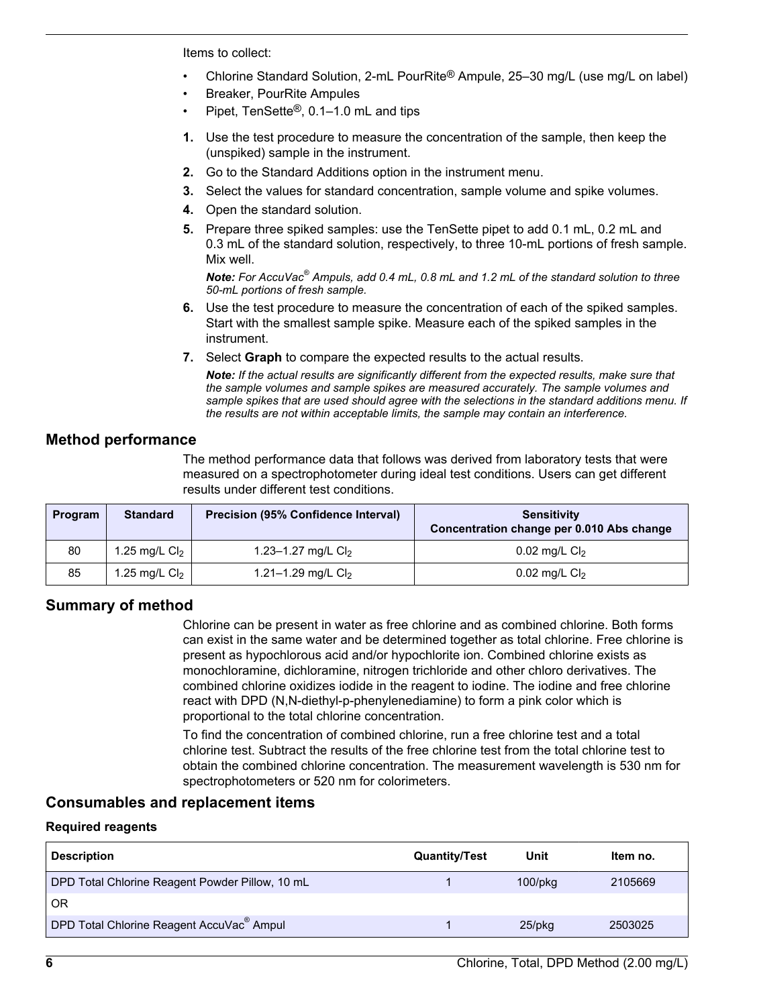<span id="page-5-0"></span>Items to collect:

- Chlorine Standard Solution, 2-mL PourRite® Ampule, 25–30 mg/L (use mg/L on label)
- Breaker, PourRite Ampules
- Pipet, TenSette®, 0.1–1.0 mL and tips
- **1.** Use the test procedure to measure the concentration of the sample, then keep the (unspiked) sample in the instrument.
- **2.** Go to the Standard Additions option in the instrument menu.
- **3.** Select the values for standard concentration, sample volume and spike volumes.
- **4.** Open the standard solution.
- **5.** Prepare three spiked samples: use the TenSette pipet to add 0.1 mL, 0.2 mL and 0.3 mL of the standard solution, respectively, to three 10-mL portions of fresh sample. Mix well.

*Note: For AccuVac® Ampuls, add 0.4 mL, 0.8 mL and 1.2 mL of the standard solution to three 50-mL portions of fresh sample.*

- **6.** Use the test procedure to measure the concentration of each of the spiked samples. Start with the smallest sample spike. Measure each of the spiked samples in the instrument.
- **7.** Select **Graph** to compare the expected results to the actual results.

*Note: If the actual results are significantly different from the expected results, make sure that the sample volumes and sample spikes are measured accurately. The sample volumes and sample spikes that are used should agree with the selections in the standard additions menu. If the results are not within acceptable limits, the sample may contain an interference.*

#### **Method performance**

The method performance data that follows was derived from laboratory tests that were measured on a spectrophotometer during ideal test conditions. Users can get different results under different test conditions.

| Program | <b>Standard</b> | <b>Precision (95% Confidence Interval)</b> | <b>Sensitivity</b><br>Concentration change per 0.010 Abs change |
|---------|-----------------|--------------------------------------------|-----------------------------------------------------------------|
| 80      | 1.25 mg/L $Cl2$ | 1.23–1.27 mg/L $Cl2$                       | 0.02 mg/L $Cl2$                                                 |
| 85      | 1.25 mg/L $Cl2$ | 1.21–1.29 mg/L $Cl2$                       | 0.02 mg/L $Cl2$                                                 |

#### **Summary of method**

Chlorine can be present in water as free chlorine and as combined chlorine. Both forms can exist in the same water and be determined together as total chlorine. Free chlorine is present as hypochlorous acid and/or hypochlorite ion. Combined chlorine exists as monochloramine, dichloramine, nitrogen trichloride and other chloro derivatives. The combined chlorine oxidizes iodide in the reagent to iodine. The iodine and free chlorine react with DPD (N,N-diethyl-p-phenylenediamine) to form a pink color which is proportional to the total chlorine concentration.

To find the concentration of combined chlorine, run a free chlorine test and a total chlorine test. Subtract the results of the free chlorine test from the total chlorine test to obtain the combined chlorine concentration. The measurement wavelength is 530 nm for spectrophotometers or 520 nm for colorimeters.

#### **Consumables and replacement items**

#### **Required reagents**

| <b>Description</b>                                    | <b>Quantity/Test</b> | Unit          | Item no. |
|-------------------------------------------------------|----------------------|---------------|----------|
| DPD Total Chlorine Reagent Powder Pillow, 10 mL       |                      | $100$ /p $kg$ | 2105669  |
| <b>OR</b>                                             |                      |               |          |
| DPD Total Chlorine Reagent AccuVac <sup>®</sup> Ampul |                      | $25$ /pkq     | 2503025  |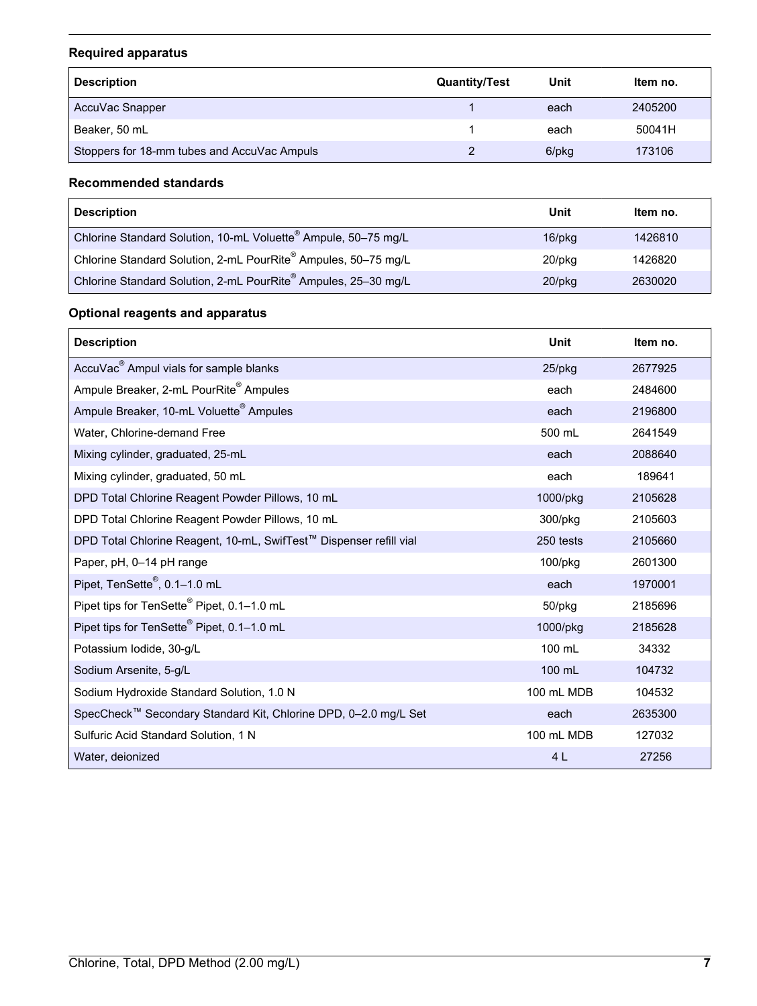#### **Required apparatus**

| <b>Description</b>                          | <b>Quantity/Test</b> | Unit  | Item no. |
|---------------------------------------------|----------------------|-------|----------|
| AccuVac Snapper                             |                      | each  | 2405200  |
| Beaker, 50 mL                               |                      | each  | 50041H   |
| Stoppers for 18-mm tubes and AccuVac Ampuls |                      | 6/pkg | 173106   |

#### **Recommended standards**

| <b>Description</b>                                                         | Unit         | Item no. |
|----------------------------------------------------------------------------|--------------|----------|
| Chlorine Standard Solution, 10-mL Voluette <sup>®</sup> Ampule, 50-75 mg/L | $16$ /p $kg$ | 1426810  |
| Chlorine Standard Solution, 2-mL PourRite® Ampules, 50-75 mg/L             | $20$ /pkq    | 1426820  |
| Chlorine Standard Solution, 2-mL PourRite® Ampules, 25-30 mg/L             | $20$ /pkq    | 2630020  |

#### **Optional reagents and apparatus**

| <b>Description</b>                                                 | Unit       | Item no. |
|--------------------------------------------------------------------|------------|----------|
| AccuVac <sup>®</sup> Ampul vials for sample blanks                 | $25$ /pkg  | 2677925  |
| Ampule Breaker, 2-mL PourRite <sup>®</sup> Ampules                 | each       | 2484600  |
| Ampule Breaker, 10-mL Voluette <sup>®</sup> Ampules                | each       | 2196800  |
| Water, Chlorine-demand Free                                        | 500 mL     | 2641549  |
| Mixing cylinder, graduated, 25-mL                                  | each       | 2088640  |
| Mixing cylinder, graduated, 50 mL                                  | each       | 189641   |
| DPD Total Chlorine Reagent Powder Pillows, 10 mL                   | 1000/pkg   | 2105628  |
| DPD Total Chlorine Reagent Powder Pillows, 10 mL                   | 300/pkg    | 2105603  |
| DPD Total Chlorine Reagent, 10-mL, SwifTest™ Dispenser refill vial | 250 tests  | 2105660  |
| Paper, pH, 0-14 pH range                                           | 100/pkg    | 2601300  |
| Pipet, TenSette <sup>®</sup> , 0.1-1.0 mL                          | each       | 1970001  |
| Pipet tips for TenSette <sup>®</sup> Pipet, 0.1-1.0 mL             | 50/pkg     | 2185696  |
| Pipet tips for TenSette <sup>®</sup> Pipet, 0.1-1.0 mL             | 1000/pkg   | 2185628  |
| Potassium Iodide, 30-g/L                                           | 100 mL     | 34332    |
| Sodium Arsenite, 5-g/L                                             | 100 mL     | 104732   |
| Sodium Hydroxide Standard Solution, 1.0 N                          | 100 mL MDB | 104532   |
| SpecCheck™ Secondary Standard Kit, Chlorine DPD, 0-2.0 mg/L Set    | each       | 2635300  |
| Sulfuric Acid Standard Solution, 1 N                               | 100 mL MDB | 127032   |
| Water, deionized                                                   | 4L         | 27256    |